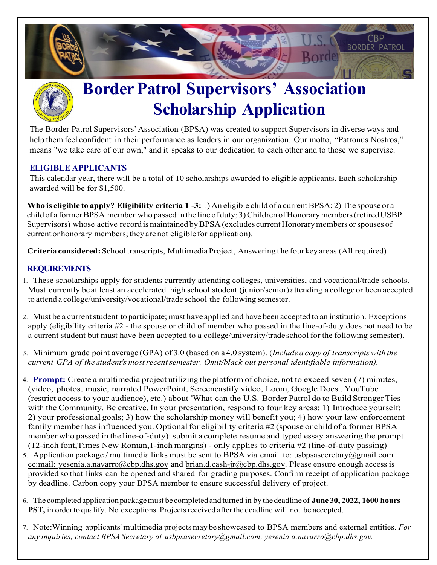



## **BorderPatrol Supervisors' Association Scholarship Application**

The Border Patrol Supervisors' Association (BPSA) was created to support Supervisors in diverse ways and help them feel confident in their performance as leaders in our organization. Our motto, "Patronus Nostros," means "we take care of our own," and it speaks to our dedication to each other and to those we supervise.

## **ELIGIBLE APPLICANTS**

This calendar year, there will be a total of 10 scholarships awarded to eligible applicants. Each scholarship awarded will be for \$1,500.

**Who is eligible to apply? Eligibility criteria 1-3:** 1) An eligible child of a current BPSA; 2) The spouse or a child of a former BPSA member who passed in the line of duty; 3) Children of Honorary members (retired USBP Supervisors) whose active record is maintained by BPSA(excludes current Honorary members or spouses of current or honorary members; they are not eligible for application).

**Criteria considered:**School transcripts, Multimedia Project, Answering t he four key areas (All required)

## **REQUIREMENTS**

- 1. These scholarships apply for students currently attending colleges, universities, and vocational/trade schools. Must currently be at least an accelerated high school student (junior/senior) attending a college or been accepted to attend a college/university/vocational/trade school the following semester.
- 2. Must be a current student to participate; must have applied and have been accepted to an institution. Exceptions apply (eligibility criteria #2 - the spouse or child of member who passed in the line-of-duty does not need to be a current student but must have been accepted to a college/university/tradeschool for the following semester).
- 3. Minimum grade point average (GPA) of 3.0 (based on a 4.0 system). (*Include a copy of transcriptswith the current GPA of the student's mostrecentsemester. Omit/black out personal identifiable information).*
- 4. **Prompt:** Create a multimedia project utilizing the platform of choice, not to exceed seven (7) minutes, (video, photos, music, narrated PowerPoint, Screencastify video, Loom, Google Docs., YouTube (restrict access to your audience), etc.) about 'What can the U.S. Border Patrol do to Build Stronger Ties with the Community. Be creative. In your presentation, respond to four key areas: 1) Introduce yourself; 2) your professional goals; 3) how the scholarship money will benefit you; 4) how your law enforcement family member has influenced you. Optional for eligibility criteria #2 (spouse or child of a former BPSA member who passed in the line-of-duty): submit a complete resume and typed essay answering the prompt (12-inch font,Times New Roman,1-inch margins) - only applies to criteria #2 (line-of-duty passing)
- 5. Application package / multimedia links must be sent to BPSA via email to: usb[psasecretary@gmail.com](mailto:bpsasecretary@gmail.com) cc:mail: [yesenia.a.navarro](mailto:lizette.solares@cbp.dhs.gov)@cbp.dhs.gov and brian.d.cash-jr@cbp.dhs.gov. Please ensure enough access is provided so that links can be opened and shared for grading purposes. Confirm receipt of application package by deadline. Carbon copy your BPSA member to ensure successful delivery of project.
- 6. The completed application packagemust be completed and turned in by the deadlineof **June 30, 2022, 1600 hours** PST, in order to qualify. No exceptions. Projects received after the deadline will not be accepted.
- 7. Note:Winning applicants' multimedia projectsmay be showcased to BPSA members and external entities. *For any inquiries, contact BPSA Secretary at usbpsasecretary@gmail.com; [yesenia.a.navarro@cbp.dhs.gov.](mailto:lizette.solares@cbp.dhs.gov)*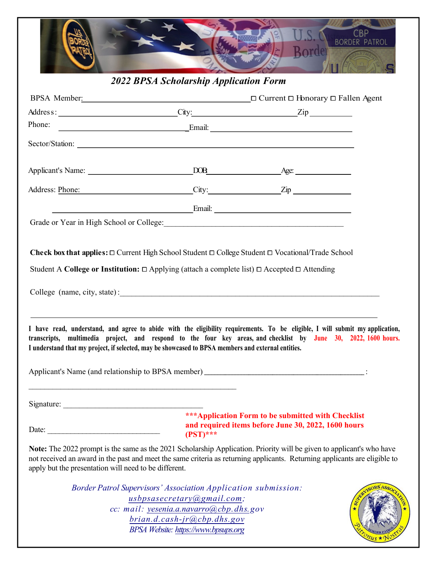

*2022 BPSA Scholarship Application Form*

| Phone:                                                                                                   |                                                                                                                                                                                                                |                                                                                                                                                                                                                                                     |
|----------------------------------------------------------------------------------------------------------|----------------------------------------------------------------------------------------------------------------------------------------------------------------------------------------------------------------|-----------------------------------------------------------------------------------------------------------------------------------------------------------------------------------------------------------------------------------------------------|
|                                                                                                          |                                                                                                                                                                                                                |                                                                                                                                                                                                                                                     |
|                                                                                                          |                                                                                                                                                                                                                |                                                                                                                                                                                                                                                     |
|                                                                                                          | Address: Phone: City: City: Zip                                                                                                                                                                                |                                                                                                                                                                                                                                                     |
|                                                                                                          |                                                                                                                                                                                                                |                                                                                                                                                                                                                                                     |
|                                                                                                          | Grade or Year in High School or College: Manual According to Trade or Year in High School or College:                                                                                                          |                                                                                                                                                                                                                                                     |
|                                                                                                          | Student A College or Institution: □ Applying (attach a complete list) □ Accepted □ Attending<br>I understand that my project, if selected, may be showcased to BPSA members and external entities.             | I have read, understand, and agree to abide with the eligibility requirements. To be eligible, I will submit my application,<br>transcripts, multimedia project, and respond to the four key areas, and checklist by June 30, 2022, 1600 hours.     |
|                                                                                                          |                                                                                                                                                                                                                |                                                                                                                                                                                                                                                     |
| Signature: $\frac{1}{\sqrt{1-\frac{1}{2}}\sqrt{1-\frac{1}{2}}\sqrt{1-\frac{1}{2}}\sqrt{1-\frac{1}{2}}}}$ |                                                                                                                                                                                                                |                                                                                                                                                                                                                                                     |
| Date:                                                                                                    | $($ PST $)****$                                                                                                                                                                                                | *** Application Form to be submitted with Checklist<br>and required items before June 30, 2022, 1600 hours                                                                                                                                          |
| apply but the presentation will need to be different.                                                    |                                                                                                                                                                                                                | Note: The 2022 prompt is the same as the 2021 Scholarship Application. Priority will be given to applicant's who have<br>not received an award in the past and meet the same criteria as returning applicants. Returning applicants are eligible to |
|                                                                                                          | Border Patrol Supervisors' Association Application submission:<br>usbpsasecretary@gmail.com;<br>cc: mail: yesenia.a.navarro@cbp.dhs.gov<br>brian.d.cash-jr@cbp.dhs.gov<br>BPSA Website: https://www.bpsups.org |                                                                                                                                                                                                                                                     |